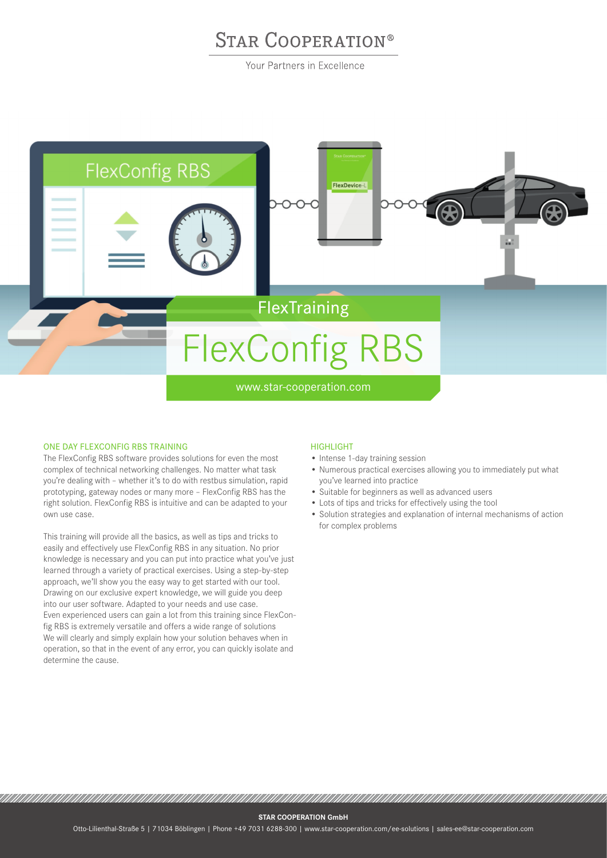# **STAR COOPERATION®**

Your Partners in Excellence



## ONE DAY FLEXCONFIG RBS TRAINING

The FlexConfig RBS software provides solutions for even the most complex of technical networking challenges. No matter what task you're dealing with – whether it's to do with restbus simulation, rapid prototyping, gateway nodes or many more – FlexConfig RBS has the right solution. FlexConfig RBS is intuitive and can be adapted to your own use case.

This training will provide all the basics, as well as tips and tricks to easily and effectively use FlexConfig RBS in any situation. No prior knowledge is necessary and you can put into practice what you've just learned through a variety of practical exercises. Using a step-by-step approach, we'll show you the easy way to get started with our tool. Drawing on our exclusive expert knowledge, we will guide you deep into our user software. Adapted to your needs and use case. Even experienced users can gain a lot from this training since FlexConfig RBS is extremely versatile and offers a wide range of solutions We will clearly and simply explain how your solution behaves when in operation, so that in the event of any error, you can quickly isolate and determine the cause.

### **HIGHLIGHT**

- Intense 1-day training session
- Numerous practical exercises allowing you to immediately put what you've learned into practice
- Suitable for beginners as well as advanced users
- Lots of tips and tricks for effectively using the tool
- Solution strategies and explanation of internal mechanisms of action for complex problems

#### **STAR COOPERATION GmbH**

,,,,,,,,,,,,,,,,,,,,,,,,,,